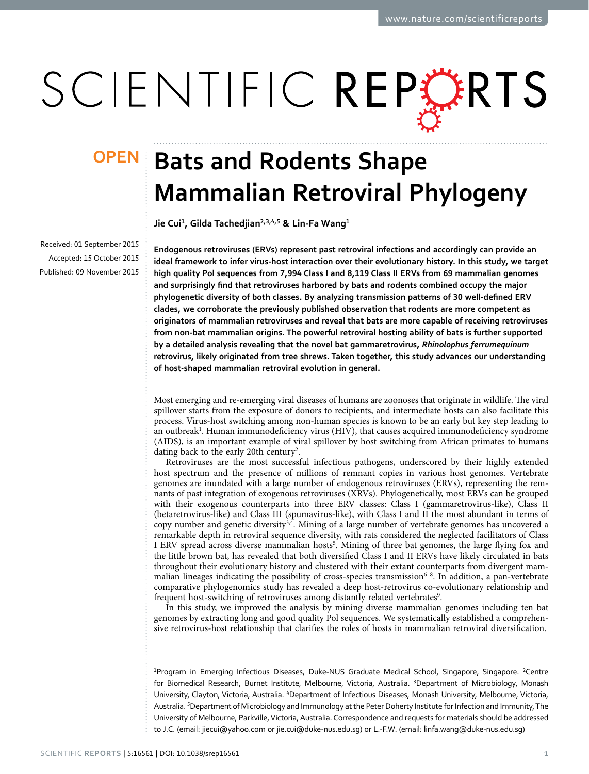# SCIENTIFIC REPERTS

Received: 01 September 2015 accepted: 15 October 2015 Published: 09 November 2015

## **Bats and Rodents Shape Mammalian Retroviral Phylogeny**

**Jie Cui<sup>1</sup>, Gilda Tachedjian<sup>2</sup>,3,4,<sup>5</sup> & Lin-Fa Wang<sup>1</sup>**

**Endogenous retroviruses (ERVs) represent past retroviral infections and accordingly can provide an ideal framework to infer virus-host interaction over their evolutionary history. In this study, we target high quality Pol sequences from 7,994 Class I and 8,119 Class II ERVs from 69 mammalian genomes and surprisingly find that retroviruses harbored by bats and rodents combined occupy the major phylogenetic diversity of both classes. By analyzing transmission patterns of 30 well-defined ERV clades, we corroborate the previously published observation that rodents are more competent as originators of mammalian retroviruses and reveal that bats are more capable of receiving retroviruses from non-bat mammalian origins. The powerful retroviral hosting ability of bats is further supported by a detailed analysis revealing that the novel bat gammaretrovirus,** *Rhinolophus ferrumequinum* **retrovirus, likely originated from tree shrews. Taken together, this study advances our understanding of host-shaped mammalian retroviral evolution in general.**

Most emerging and re-emerging viral diseases of humans are zoonoses that originate in wildlife. The viral spillover starts from the exposure of donors to recipients, and intermediate hosts can also facilitate this process. Virus-host switching among non-human species is known to be an early but key step leading to an outbreak<sup>1</sup>. Human immunodeficiency virus (HIV), that causes acquired immunodeficiency syndrome (AIDS), is an important example of viral spillover by host switching from African primates to humans dating back to the early [2](#page-5-1)0th century<sup>2</sup>.

Retroviruses are the most successful infectious pathogens, underscored by their highly extended host spectrum and the presence of millions of remnant copies in various host genomes. Vertebrate genomes are inundated with a large number of endogenous retroviruses (ERVs), representing the remnants of past integration of exogenous retroviruses (XRVs). Phylogenetically, most ERVs can be grouped with their exogenous counterparts into three ERV classes: Class I (gammaretrovirus-like), Class II (betaretrovirus-like) and Class III (spumavirus-like), with Class I and II the most abundant in terms of copy number and genetic diversit[y3](#page-5-2),[4.](#page-5-3) Mining of a large number of vertebrate genomes has uncovered a remarkable depth in retroviral sequence diversity, with rats considered the neglected facilitators of Class I ERV spread across diverse mammalian hosts<sup>5</sup>. Mining of three bat genomes, the large flying fox and the little brown bat, has revealed that both diversified Class I and II ERVs have likely circulated in bats throughout their evolutionary history and clustered with their extant counterparts from divergent mammalian lineages indicating the possibility of cross-species transmission $6-8$ . In addition, a pan-vertebrate comparative phylogenomics study has revealed a deep host-retrovirus co-evolutionary relationship and frequent host-switching of retroviruses among distantly related vertebrates<sup>9</sup>.

In this study, we improved the analysis by mining diverse mammalian genomes including ten bat genomes by extracting long and good quality Pol sequences. We systematically established a comprehensive retrovirus-host relationship that clarifies the roles of hosts in mammalian retroviral diversification.

<sup>1</sup>Program in Emerging Infectious Diseases, Duke-NUS Graduate Medical School, Singapore, Singapore. <sup>2</sup>Centre for Biomedical Research, Burnet Institute, Melbourne, Victoria, Australia. <sup>3</sup>Department of Microbiology, Monash University, Clayton, Victoria, Australia. <sup>4</sup>Department of Infectious Diseases, Monash University, Melbourne, Victoria, Australia. <sup>5</sup>Department of Microbiology and Immunology at the Peter Doherty Institute for Infection and Immunity, The University of Melbourne, Parkville, Victoria, Australia. Correspondence and requests for materials should be addressed to J.C. (email: jiecui@yahoo.com or [jie.cui@duke-nus.edu.sg\)](mailto:jie.cui@duke-nus.edu.sg) or L.-F.W. (email: [linfa.wang@duke-nus.edu.sg](mailto:linfa.wang@duke-nus.edu.sg))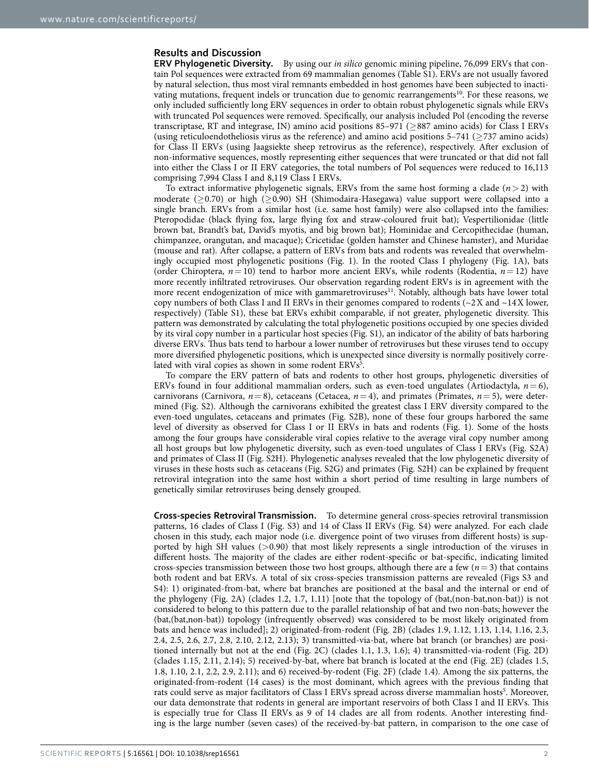#### **Results and Discussion**

**ERV Phylogenetic Diversity.** By using our *in silico* genomic mining pipeline, 76,099 ERVs that contain Pol sequences were extracted from 69 mammalian genomes (Table S1). ERVs are not usually favored by natural selection, thus most viral remnants embedded in host genomes have been subjected to inacti-vating mutations, frequent indels or truncation due to genomic rearrangements<sup>[10](#page-5-7)</sup>. For these reasons, we only included sufficiently long ERV sequences in order to obtain robust phylogenetic signals while ERVs with truncated Pol sequences were removed. Specifically, our analysis included Pol (encoding the reverse transcriptase, RT and integrase, IN) amino acid positions 85–971 (≥887 amino acids) for Class I ERVs (using reticuloendotheliosis virus as the reference) and amino acid positions  $5-741$  ( $>737$  amino acids) for Class II ERVs (using Jaagsiekte sheep retrovirus as the reference), respectively. After exclusion of non-informative sequences, mostly representing either sequences that were truncated or that did not fall into either the Class I or II ERV categories, the total numbers of Pol sequences were reduced to 16,113 comprising 7,994 Class I and 8,119 Class I ERVs.

To extract informative phylogenetic signals, ERVs from the same host forming a clade  $(n>2)$  with moderate (≥0.70) or high (≥0.90) SH (Shimodaira-Hasegawa) value support were collapsed into a single branch. ERVs from a similar host (i.e. same host family) were also collapsed into the families: Pteropodidae (black flying fox, large flying fox and straw-coloured fruit bat); Vespertilionidae (little brown bat, Brandt's bat, David's myotis, and big brown bat); Hominidae and Cercopithecidae (human, chimpanzee, orangutan, and macaque); Cricetidae (golden hamster and Chinese hamster), and Muridae (mouse and rat). After collapse, a pattern of ERVs from bats and rodents was revealed that overwhelmingly occupied most phylogenetic positions [\(Fig. 1\)](#page-2-0). In the rooted Class I phylogeny ([Fig. 1A](#page-2-0)), bats (order Chiroptera,  $n=10$ ) tend to harbor more ancient ERVs, while rodents (Rodentia,  $n=12$ ) have more recently infiltrated retroviruses. Our observation regarding rodent ERVs is in agreement with the more recent endogenization of mice with gammaretroviruses<sup>11</sup>. Notably, although bats have lower total copy numbers of both Class I and II ERVs in their genomes compared to rodents ( $\sim$ 2X and  $\sim$ 14X lower, respectively) (Table S1), these bat ERVs exhibit comparable, if not greater, phylogenetic diversity. This pattern was demonstrated by calculating the total phylogenetic positions occupied by one species divided by its viral copy number in a particular host species (Fig. S1), an indicator of the ability of bats harboring diverse ERVs. Thus bats tend to harbour a lower number of retroviruses but these viruses tend to occupy more diversified phylogenetic positions, which is unexpected since diversity is normally positively corre-lated with viral copies as shown in some rodent ERVs<sup>[5](#page-5-4)</sup>.

To compare the ERV pattern of bats and rodents to other host groups, phylogenetic diversities of ERVs found in four additional mammalian orders, such as even-toed ungulates (Artiodactyla,  $n = 6$ ), carnivorans (Carnivora,  $n=8$ ), cetaceans (Cetacea,  $n=4$ ), and primates (Primates,  $n=5$ ), were determined (Fig. S2). Although the carnivorans exhibited the greatest class I ERV diversity compared to the even-toed ungulates, cetaceans and primates (Fig. S2B), none of these four groups harbored the same level of diversity as observed for Class I or II ERVs in bats and rodents [\(Fig. 1\)](#page-2-0). Some of the hosts among the four groups have considerable viral copies relative to the average viral copy number among all host groups but low phylogenetic diversity, such as even-toed ungulates of Class I ERVs (Fig. S2A) and primates of Class II (Fig. S2H). Phylogenetic analyses revealed that the low phylogenetic diversity of viruses in these hosts such as cetaceans (Fig. S2G) and primates (Fig. S2H) can be explained by frequent retroviral integration into the same host within a short period of time resulting in large numbers of genetically similar retroviruses being densely grouped.

**Cross-species Retroviral Transmission.** To determine general cross-species retroviral transmission patterns, 16 clades of Class I (Fig. S3) and 14 of Class II ERVs (Fig. S4) were analyzed. For each clade chosen in this study, each major node (i.e. divergence point of two viruses from different hosts) is supported by high SH values (>0.90) that most likely represents a single introduction of the viruses in different hosts. The majority of the clades are either rodent-specific or bat-specific, indicating limited cross-species transmission between those two host groups, although there are a few  $(n=3)$  that contains both rodent and bat ERVs. A total of six cross-species transmission patterns are revealed (Figs S3 and S4): 1) originated-from-bat, where bat branches are positioned at the basal and the internal or end of the phylogeny [\(Fig. 2A\)](#page-3-0) (clades 1.2, 1.7, 1.11) [note that the topology of (bat,(non-bat,non-bat)) is not considered to belong to this pattern due to the parallel relationship of bat and two non-bats; however the (bat,(bat,non-bat)) topology (infrequently observed) was considered to be most likely originated from bats and hence was included]; 2) originated-from-rodent [\(Fig. 2B](#page-3-0)) (clades 1.9, 1.12, 1.13, 1.14, 1.16, 2.3, 2.4, 2.5, 2.6, 2.7, 2.8, 2.10, 2.12, 2.13); 3) transmitted-via-bat, where bat branch (or branches) are positioned internally but not at the end [\(Fig. 2C\)](#page-3-0) (clades 1.1, 1.3, 1.6); 4) transmitted-via-rodent [\(Fig. 2D](#page-3-0)) (clades 1.15, 2.11, 2.14); 5) received-by-bat, where bat branch is located at the end ([Fig. 2E\)](#page-3-0) (clades 1.5, 1.8, 1.10, 2.1, 2.2, 2.9, 2.11); and 6) received-by-rodent ([Fig. 2F\)](#page-3-0) (clade 1.4). Among the six patterns, the originated-from-rodent (14 cases) is the most dominant, which agrees with the previous finding that rats could serve as major facilitators of Class I ERVs spread across diverse mammalian hosts<sup>5</sup>. Moreover, our data demonstrate that rodents in general are important reservoirs of both Class I and II ERVs. This is especially true for Class II ERVs as 9 of 14 clades are all from rodents. Another interesting finding is the large number (seven cases) of the received-by-bat pattern, in comparison to the one case of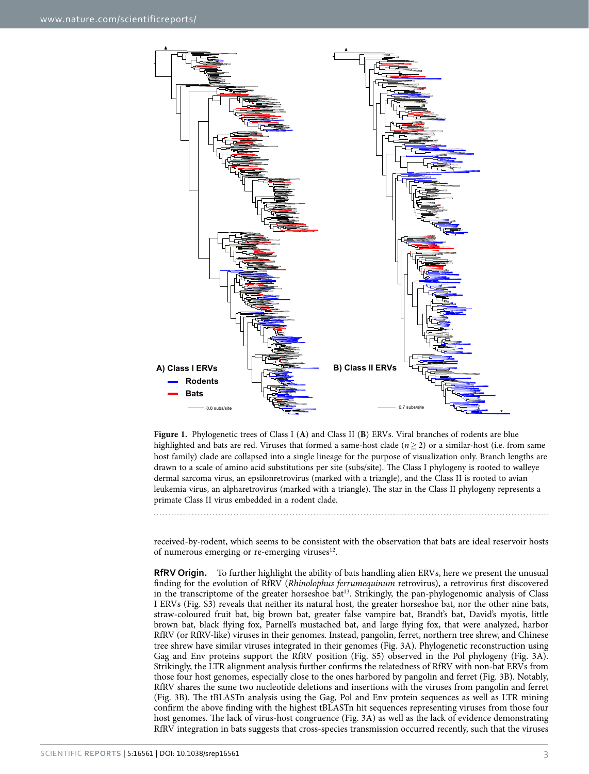

<span id="page-2-0"></span>**Figure 1.** Phylogenetic trees of Class I (**A**) and Class II (**B**) ERVs. Viral branches of rodents are blue highlighted and bats are red. Viruses that formed a same-host clade (*n*≥ 2) or a similar-host (i.e. from same host family) clade are collapsed into a single lineage for the purpose of visualization only. Branch lengths are drawn to a scale of amino acid substitutions per site (subs/site). The Class I phylogeny is rooted to walleye dermal sarcoma virus, an epsilonretrovirus (marked with a triangle), and the Class II is rooted to avian leukemia virus, an alpharetrovirus (marked with a triangle). The star in the Class II phylogeny represents a primate Class II virus embedded in a rodent clade.

received-by-rodent, which seems to be consistent with the observation that bats are ideal reservoir hosts of numerous emerging or re-emerging viruses<sup>12</sup>.

**RfRV Origin.** To further highlight the ability of bats handling alien ERVs, here we present the unusual finding for the evolution of RfRV (*Rhinolophus ferrumequinum* retrovirus), a retrovirus first discovered in the transcriptome of the greater horseshoe bat<sup>13</sup>. Strikingly, the pan-phylogenomic analysis of Class I ERVs (Fig. S3) reveals that neither its natural host, the greater horseshoe bat, nor the other nine bats, straw-coloured fruit bat, big brown bat, greater false vampire bat, Brandt's bat, David's myotis, little brown bat, black flying fox, Parnell's mustached bat, and large flying fox, that were analyzed, harbor RfRV (or RfRV-like) viruses in their genomes. Instead, pangolin, ferret, northern tree shrew, and Chinese tree shrew have similar viruses integrated in their genomes ([Fig. 3A\)](#page-4-0). Phylogenetic reconstruction using Gag and Env proteins support the RfRV position (Fig. S5) observed in the Pol phylogeny [\(Fig. 3A](#page-4-0)). Strikingly, the LTR alignment analysis further confirms the relatedness of RfRV with non-bat ERVs from those four host genomes, especially close to the ones harbored by pangolin and ferret [\(Fig. 3B](#page-4-0)). Notably, RfRV shares the same two nucleotide deletions and insertions with the viruses from pangolin and ferret ([Fig. 3B\)](#page-4-0). The tBLASTn analysis using the Gag, Pol and Env protein sequences as well as LTR mining confirm the above finding with the highest tBLASTn hit sequences representing viruses from those four host genomes. The lack of virus-host congruence ([Fig. 3A\)](#page-4-0) as well as the lack of evidence demonstrating RfRV integration in bats suggests that cross-species transmission occurred recently, such that the viruses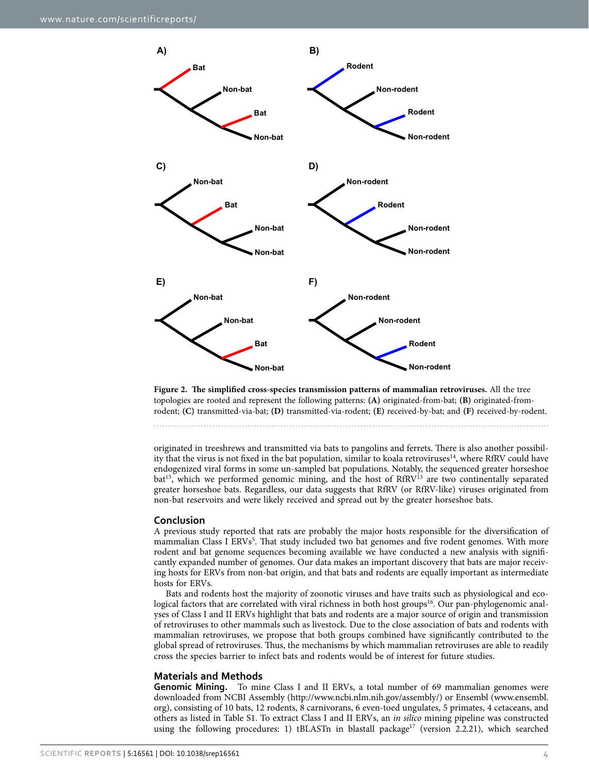

<span id="page-3-0"></span>**Figure 2. The simplified cross-species transmission patterns of mammalian retroviruses.** All the tree topologies are rooted and represent the following patterns: **(A)** originated-from-bat; **(B)** originated-fromrodent; **(C)** transmitted-via-bat; **(D)** transmitted-via-rodent; **(E)** received-by-bat; and **(F)** received-by-rodent.

originated in treeshrews and transmitted via bats to pangolins and ferrets. There is also another possibility that the virus is not fixed in the bat population, similar to koala retroviruses<sup>14</sup>, where RfRV could have endogenized viral forms in some un-sampled bat populations. Notably, the sequenced greater horseshoe  $bat^{15}$ , which we performed genomic mining, and the host of RfRV $13$  are two continentally separated greater horseshoe bats. Regardless, our data suggests that RfRV (or RfRV-like) viruses originated from non-bat reservoirs and were likely received and spread out by the greater horseshoe bats.

#### **Conclusion**

A previous study reported that rats are probably the major hosts responsible for the diversification of mammalian Class I ERVs<sup>[5](#page-5-4)</sup>. That study included two bat genomes and five rodent genomes. With more rodent and bat genome sequences becoming available we have conducted a new analysis with significantly expanded number of genomes. Our data makes an important discovery that bats are major receiving hosts for ERVs from non-bat origin, and that bats and rodents are equally important as intermediate hosts for ERVs.

Bats and rodents host the majority of zoonotic viruses and have traits such as physiological and ecological factors that are correlated with viral richness in both host groups<sup>16</sup>. Our pan-phylogenomic analyses of Class I and II ERVs highlight that bats and rodents are a major source of origin and transmission of retroviruses to other mammals such as livestock. Due to the close association of bats and rodents with mammalian retroviruses, we propose that both groups combined have significantly contributed to the global spread of retroviruses. Thus, the mechanisms by which mammalian retroviruses are able to readily cross the species barrier to infect bats and rodents would be of interest for future studies.

#### **Materials and Methods**

**Genomic Mining.** To mine Class I and II ERVs, a total number of 69 mammalian genomes were downloaded from NCBI Assembly (<http://www.ncbi.nlm.nih.gov/assembly/>) or Ensembl ([www.ensembl.](http://www.ensembl.org) [org](http://www.ensembl.org)), consisting of 10 bats, 12 rodents, 8 carnivorans, 6 even-toed ungulates, 5 primates, 4 cetaceans, and others as listed in Table S1. To extract Class I and II ERVs, an *in silico* mining pipeline was constructed using the following procedures: 1) tBLASTn in blastall package<sup>17</sup> (version 2.2.21), which searched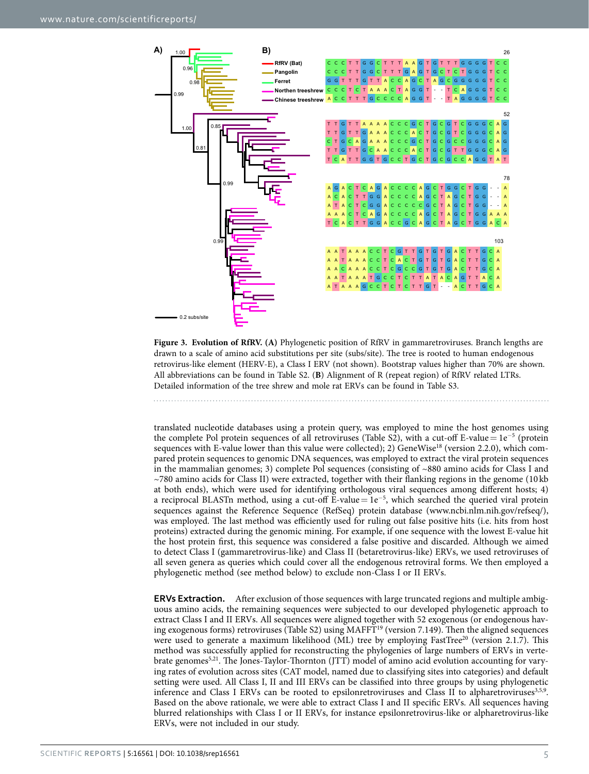

<span id="page-4-0"></span>**Figure 3. Evolution of RfRV. (A)** Phylogenetic position of RfRV in gammaretroviruses. Branch lengths are drawn to a scale of amino acid substitutions per site (subs/site). The tree is rooted to human endogenous retrovirus-like element (HERV-E), a Class I ERV (not shown). Bootstrap values higher than 70% are shown. All abbreviations can be found in Table S2. (**B**) Alignment of R (repeat region) of RfRV related LTRs. Detailed information of the tree shrew and mole rat ERVs can be found in Table S3.

translated nucleotide databases using a protein query, was employed to mine the host genomes using the complete Pol protein sequences of all retroviruses (Table S2), with a cut-off E-value=  $1e^{-5}$  (protein sequences with E-value lower than this value were collected); 2) GeneWise<sup>18</sup> (version 2.2.0), which compared protein sequences to genomic DNA sequences, was employed to extract the viral protein sequences in the mammalian genomes; 3) complete Pol sequences (consisting of  $~880$  amino acids for Class I and  $\sim$ 780 amino acids for Class II) were extracted, together with their flanking regions in the genome (10 kb) at both ends), which were used for identifying orthologous viral sequences among different hosts; 4) a reciprocal BLASTn method, using a cut-off E-value= 1e<sup>−</sup><sup>5</sup> , which searched the queried viral protein sequences against the Reference Sequence (RefSeq) protein database (www.ncbi.nlm.nih.gov/refseq/), was employed. The last method was efficiently used for ruling out false positive hits (i.e. hits from host proteins) extracted during the genomic mining. For example, if one sequence with the lowest E-value hit the host protein first, this sequence was considered a false positive and discarded. Although we aimed to detect Class I (gammaretrovirus-like) and Class II (betaretrovirus-like) ERVs, we used retroviruses of all seven genera as queries which could cover all the endogenous retroviral forms. We then employed a phylogenetic method (see method below) to exclude non-Class I or II ERVs.

**ERVs Extraction.** After exclusion of those sequences with large truncated regions and multiple ambiguous amino acids, the remaining sequences were subjected to our developed phylogenetic approach to extract Class I and II ERVs. All sequences were aligned together with 52 exogenous (or endogenous having exogenous forms) retroviruses (Table S2) using MAFF[T19](#page-5-16) (version 7.149). Then the aligned sequences were used to generate a maximum likelihood (ML) tree by employing FastTree<sup>20</sup> (version 2.1.7). This method was successfully applied for reconstructing the phylogenies of large numbers of ERVs in vertebrate genomes[5,](#page-5-4)[21](#page-5-18). The Jones-Taylor-Thornton (JTT) model of amino acid evolution accounting for varying rates of evolution across sites (CAT model, named due to classifying sites into categories) and default setting were used. All Class I, II and III ERVs can be classified into three groups by using phylogenetic inference and Class I ERVs can be rooted to epsilonretroviruses and Class II to alpharetroviruses $3,5,9$  $3,5,9$  $3,5,9$  $3,5,9$ . Based on the above rationale, we were able to extract Class I and II specific ERVs. All sequences having blurred relationships with Class I or II ERVs, for instance epsilonretrovirus-like or alpharetrovirus-like ERVs, were not included in our study.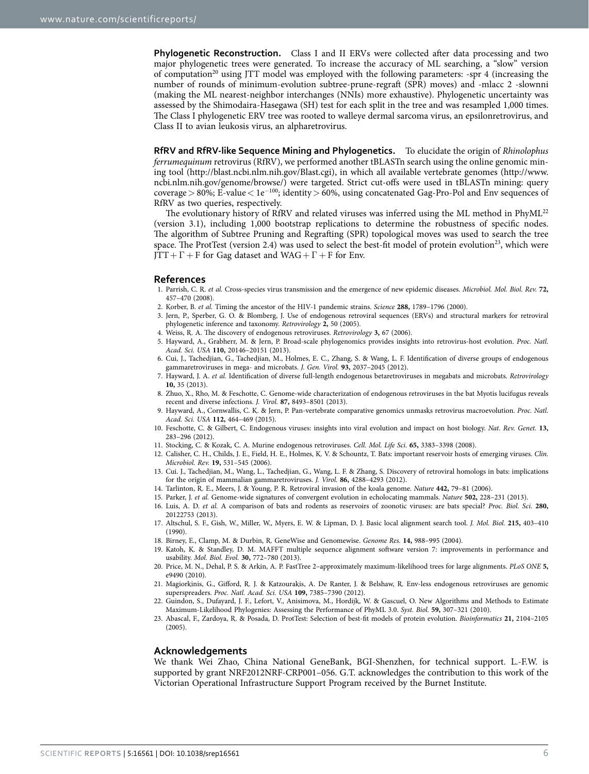**Phylogenetic Reconstruction.** Class I and II ERVs were collected after data processing and two major phylogenetic trees were generated. To increase the accuracy of ML searching, a "slow" version of computation<sup>20</sup> using JTT model was employed with the following parameters: -spr 4 (increasing the number of rounds of minimum-evolution subtree-prune-regraft (SPR) moves) and -mlacc 2 -slownni (making the ML nearest-neighbor interchanges (NNIs) more exhaustive). Phylogenetic uncertainty was assessed by the Shimodaira-Hasegawa (SH) test for each split in the tree and was resampled 1,000 times. The Class I phylogenetic ERV tree was rooted to walleye dermal sarcoma virus, an epsilonretrovirus, and Class II to avian leukosis virus, an alpharetrovirus.

**RfRV and RfRV-like Sequence Mining and Phylogenetics.** To elucidate the origin of *Rhinolophus ferrumequinum* retrovirus (RfRV), we performed another tBLASTn search using the online genomic mining tool [\(http://blast.ncbi.nlm.nih.gov/Blast.cgi](http://blast.ncbi.nlm.nih.gov/Blast.cgi)), in which all available vertebrate genomes [\(http://www.](http://www.ncbi.nlm.nih.gov/genome/browse/) [ncbi.nlm.nih.gov/genome/browse/\)](http://www.ncbi.nlm.nih.gov/genome/browse/) were targeted. Strict cut-offs were used in tBLASTn mining: query coverage > 80%; E-value <  $1e^{-100}$ ; identity > 60%, using concatenated Gag-Pro-Pol and Env sequences of RfRV as two queries, respectively.

The evolutionary history of RfRV and related viruses was inferred using the ML method in PhyML[22](#page-5-19) (version 3.1), including 1,000 bootstrap replications to determine the robustness of specific nodes. The algorithm of Subtree Pruning and Regrafting (SPR) topological moves was used to search the tree space. The ProtTest (version 2.4) was used to select the best-fit model of protein evolution<sup>23</sup>, which were  $TT + \Gamma + F$  for Gag dataset and WAG +  $\Gamma$  + F for Env.

#### **References**

- <span id="page-5-0"></span>1. Parrish, C. R. *et al.* Cross-species virus transmission and the emergence of new epidemic diseases. *Microbiol. Mol. Biol. Rev.* **72,** 457–470 (2008).
- <span id="page-5-1"></span>2. Korber, B. *et al.* Timing the ancestor of the HIV-1 pandemic strains. *Science* **288,** 1789–1796 (2000).
- <span id="page-5-2"></span>3. Jern, P., Sperber, G. O. & Blomberg, J. Use of endogenous retroviral sequences (ERVs) and structural markers for retroviral phylogenetic inference and taxonomy. *Retrovirology* **2,** 50 (2005).
- <span id="page-5-3"></span>4. Weiss, R. A. The discovery of endogenous retroviruses. *Retrovirology* **3,** 67 (2006).
- <span id="page-5-4"></span>5. Hayward, A., Grabherr, M. & Jern, P. Broad-scale phylogenomics provides insights into retrovirus-host evolution. *Proc. Natl. Acad. Sci. USA* **110,** 20146–20151 (2013).
- <span id="page-5-5"></span>6. Cui, J., Tachedjian, G., Tachedjian, M., Holmes, E. C., Zhang, S. & Wang, L. F. Identification of diverse groups of endogenous gammaretroviruses in mega- and microbats. *J. Gen. Virol.* **93,** 2037–2045 (2012).
- 7. Hayward, J. A. *et al.* Identification of diverse full-length endogenous betaretroviruses in megabats and microbats. *Retrovirology* **10,** 35 (2013).
- 8. Zhuo, X., Rho, M. & Feschotte, C. Genome-wide characterization of endogenous retroviruses in the bat Myotis lucifugus reveals recent and diverse infections. *J. Virol.* **87,** 8493–8501 (2013).
- <span id="page-5-6"></span>9. Hayward, A., Cornwallis, C. K. & Jern, P. Pan-vertebrate comparative genomics unmasks retrovirus macroevolution. *Proc. Natl. Acad. Sci. USA* **112,** 464–469 (2015).
- <span id="page-5-7"></span>10. Feschotte, C. & Gilbert, C. Endogenous viruses: insights into viral evolution and impact on host biology. *Nat. Rev. Genet.* **13,** 283–296 (2012).
- <span id="page-5-8"></span>11. Stocking, C. & Kozak, C. A. Murine endogenous retroviruses. *Cell. Mol. Life Sci.* **65,** 3383–3398 (2008).
- <span id="page-5-9"></span>12. Calisher, C. H., Childs, J. E., Field, H. E., Holmes, K. V. & Schountz, T. Bats: important reservoir hosts of emerging viruses. *Clin. Microbiol. Rev.* **19,** 531–545 (2006).
- <span id="page-5-10"></span>13. Cui. J., Tachedjian, M., Wang, L., Tachedjian, G., Wang, L. F. & Zhang, S. Discovery of retroviral homologs in bats: implications for the origin of mammalian gammaretroviruses. *J. Virol.* **86,** 4288–4293 (2012).
- <span id="page-5-11"></span>14. Tarlinton, R. E., Meers, J. & Young, P. R. Retroviral invasion of the koala genome. *Nature* **442,** 79–81 (2006).
- <span id="page-5-12"></span>15. Parker, J. *et al.* Genome-wide signatures of convergent evolution in echolocating mammals. *Nature* **502,** 228–231 (2013).
- <span id="page-5-13"></span>16. Luis, A. D. *et al.* A comparison of bats and rodents as reservoirs of zoonotic viruses: are bats special? *Proc. Biol. Sci*. **280,** 20122753 (2013).
- <span id="page-5-14"></span>17. Altschul, S. F., Gish, W., Miller, W., Myers, E. W. & Lipman, D. J. Basic local alignment search tool. *J. Mol. Biol.* **215,** 403–410 (1990).
- <span id="page-5-15"></span>18. Birney, E., Clamp, M. & Durbin, R. GeneWise and Genomewise. *Genome Res.* **14,** 988–995 (2004).
- <span id="page-5-16"></span>19. Katoh, K. & Standley, D. M. MAFFT multiple sequence alignment software version 7: improvements in performance and usability. *Mol. Biol. Evol.* **30,** 772–780 (2013).
- <span id="page-5-17"></span>20. Price, M. N., Dehal, P. S. & Arkin, A. P. FastTree 2–approximately maximum-likelihood trees for large alignments. *PLoS ONE* **5,** e9490 (2010).
- <span id="page-5-18"></span>21. Magiorkinis, G., Gifford, R. J. & Katzourakis, A. De Ranter, J. & Belshaw, R. Env-less endogenous retroviruses are genomic superspreaders. *Proc. Natl. Acad. Sci. USA* **109,** 7385–7390 (2012).
- <span id="page-5-19"></span>22. Guindon, S., Dufayard, J. F., Lefort, V., Anisimova, M., Hordijk, W. & Gascuel, O. New Algorithms and Methods to Estimate Maximum-Likelihood Phylogenies: Assessing the Performance of PhyML 3.0. *Syst. Biol.* **59,** 307–321 (2010).
- <span id="page-5-20"></span>23. Abascal, F., Zardoya, R. & Posada, D. ProtTest: Selection of best-fit models of protein evolution. *Bioinformatics* **21,** 2104–2105 (2005).

#### **Acknowledgements**

We thank Wei Zhao, China National GeneBank, BGI-Shenzhen, for technical support. L.-F.W. is supported by grant NRF2012NRF-CRP001–056. G.T. acknowledges the contribution to this work of the Victorian Operational Infrastructure Support Program received by the Burnet Institute.